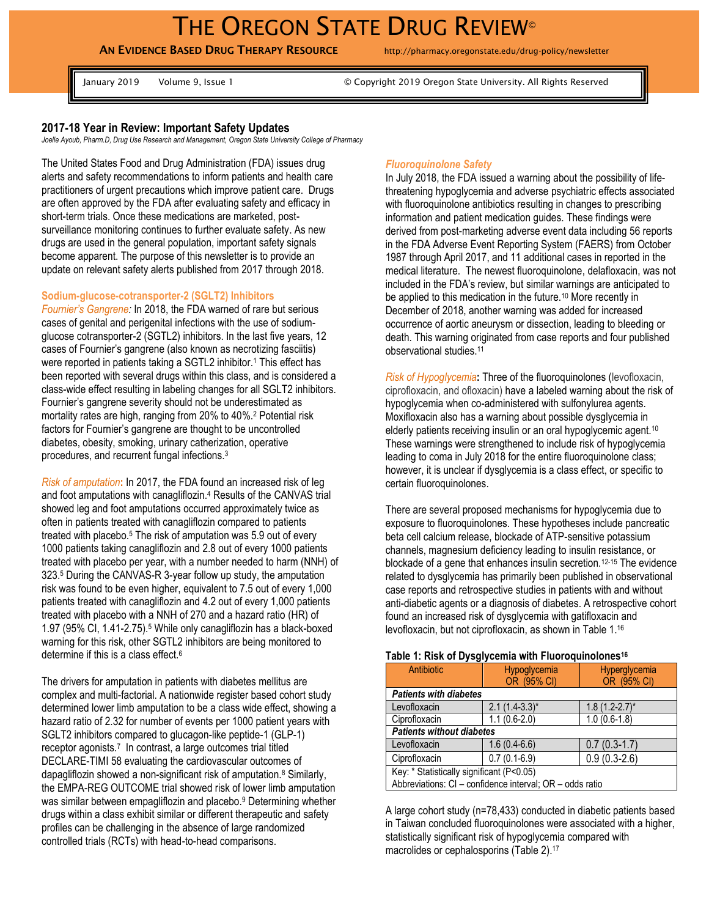# THE OREGON STATE DRUG REVIEW<sup>®</sup>

# **AN EVIDENCE BASED DRUG THERAPY RESOURCE** http://pharmacy.oregonstate.edu/drug-policy/newsletter

January 2019 Volume 9, Issue 1 © Copyright 2019 Oregon State University. All Rights Reserved

### **2017-18 Year in Review: Important Safety Updates**

*Joelle Ayoub, Pharm.D, Drug Use Research and Management, Oregon State University College of Pharmacy*

The United States Food and Drug Administration (FDA) issues drug alerts and safety recommendations to inform patients and health care practitioners of urgent precautions which improve patient care. Drugs are often approved by the FDA after evaluating safety and efficacy in short-term trials. Once these medications are marketed, postsurveillance monitoring continues to further evaluate safety. As new drugs are used in the general population, important safety signals become apparent. The purpose of this newsletter is to provide an update on relevant safety alerts published from 2017 through 2018.

### **Sodium-glucose-cotransporter-2 (SGLT2) Inhibitors**

*Fournier's Gangrene:* In 2018, the FDA warned of rare but serious cases of genital and perigenital infections with the use of sodiumglucose cotransporter-2 (SGTL2) inhibitors. In the last five years, 12 cases of Fournier's gangrene (also known as necrotizing fasciitis) were reported in patients taking a SGTL2 inhibitor.<sup>1</sup> This effect has been reported with several drugs within this class, and is considered a class-wide effect resulting in labeling changes for all SGLT2 inhibitors. Fournier's gangrene severity should not be underestimated as mortality rates are high, ranging from 20% to 40%.<sup>2</sup> Potential risk factors for Fournier's gangrene are thought to be uncontrolled diabetes, obesity, smoking, urinary catherization, operative procedures, and recurrent fungal infections.<sup>3</sup>

*Risk of amputation***:** In 2017, the FDA found an increased risk of leg and foot amputations with canagliflozin. <sup>4</sup> Results of the CANVAS trial showed leg and foot amputations occurred approximately twice as often in patients treated with canagliflozin compared to patients treated with placebo.<sup>5</sup> The risk of amputation was 5.9 out of every 1000 patients taking canagliflozin and 2.8 out of every 1000 patients treated with placebo per year, with a number needed to harm (NNH) of 323.<sup>5</sup> During the CANVAS-R 3-year follow up study, the amputation risk was found to be even higher, equivalent to 7.5 out of every 1,000 patients treated with canagliflozin and 4.2 out of every 1,000 patients treated with placebo with a NNH of 270 and a hazard ratio (HR) of 1.97 (95% CI, 1.41-2.75). <sup>5</sup> While only canagliflozin has a black-boxed warning for this risk, other SGTL2 inhibitors are being monitored to determine if this is a class effect. 6

The drivers for amputation in patients with diabetes mellitus are complex and multi-factorial. A nationwide register based cohort study determined lower limb amputation to be a class wide effect, showing a hazard ratio of 2.32 for number of events per 1000 patient years with SGLT2 inhibitors compared to glucagon-like peptide-1 (GLP-1) receptor agonists.<sup>7</sup> In contrast, a large outcomes trial titled DECLARE-TIMI 58 evaluating the cardiovascular outcomes of dapagliflozin showed a non-significant risk of amputation.<sup>8</sup> Similarly, the EMPA-REG OUTCOME trial showed risk of lower limb amputation was similar between empagliflozin and placebo.<sup>9</sup> Determining whether drugs within a class exhibit similar or different therapeutic and safety profiles can be challenging in the absence of large randomized controlled trials (RCTs) with head-to-head comparisons.

## *Fluoroquinolone Safety*

In July 2018, the FDA issued a warning about the possibility of lifethreatening hypoglycemia and adverse psychiatric effects associated with fluoroquinolone antibiotics resulting in changes to prescribing information and patient medication guides. These findings were derived from post-marketing adverse event data including 56 reports in the FDA Adverse Event Reporting System (FAERS) from October 1987 through April 2017, and 11 additional cases in reported in the medical literature. The newest fluoroquinolone, delafloxacin, was not included in the FDA's review, but similar warnings are anticipated to be applied to this medication in the future.<sup>10</sup> More recently in December of 2018, another warning was added for increased occurrence of aortic aneurysm or dissection, leading to bleeding or death. This warning originated from case reports and four published observational studies.<sup>11</sup>

*Risk of Hypoglycemia***:** Three of the fluoroquinolones (levofloxacin, ciprofloxacin, and ofloxacin) have a labeled warning about the risk of hypoglycemia when co-administered with sulfonylurea agents. Moxifloxacin also has a warning about possible dysglycemia in elderly patients receiving insulin or an oral hypoglycemic agent.<sup>10</sup> These warnings were strengthened to include risk of hypoglycemia leading to coma in July 2018 for the entire fluoroquinolone class; however, it is unclear if dysglycemia is a class effect, or specific to certain fluoroquinolones.

There are several proposed mechanisms for hypoglycemia due to exposure to fluoroquinolones. These hypotheses include pancreatic beta cell calcium release, blockade of ATP-sensitive potassium channels, magnesium deficiency leading to insulin resistance, or blockade of a gene that enhances insulin secretion.12-15 The evidence related to dysglycemia has primarily been published in observational case reports and retrospective studies in patients with and without anti-diabetic agents or a diagnosis of diabetes. A retrospective cohort found an increased risk of dysglycemia with gatifloxacin and levofloxacin, but not ciprofloxacin, as shown in Table 1.<sup>16</sup>

### **Table 1: Risk of Dysglycemia with Fluoroquinolones<sup>16</sup>**

| Antibiotic                                               | <b>Hypoglycemia</b><br>OR (95% CI) | Hyperglycemia<br>OR (95% CI) |  |  |  |  |
|----------------------------------------------------------|------------------------------------|------------------------------|--|--|--|--|
| <b>Patients with diabetes</b>                            |                                    |                              |  |  |  |  |
| Levofloxacin                                             | $2.1(1.4-3.3)^{*}$                 | $1.8(1.2-2.7)^{*}$           |  |  |  |  |
| Ciprofloxacin                                            | $1.1(0.6-2.0)$                     | $1.0(0.6-1.8)$               |  |  |  |  |
| <b>Patients without diabetes</b>                         |                                    |                              |  |  |  |  |
| Levofloxacin                                             | $1.6(0.4-6.6)$                     | $0.7(0.3-1.7)$               |  |  |  |  |
| Ciprofloxacin                                            | $0.7(0.1-6.9)$                     | $0.9(0.3-2.6)$               |  |  |  |  |
| Key: * Statistically significant (P<0.05)                |                                    |                              |  |  |  |  |
| Abbreviations: CI - confidence interval; OR - odds ratio |                                    |                              |  |  |  |  |

A large cohort study (n=78,433) conducted in diabetic patients based in Taiwan concluded fluoroquinolones were associated with a higher, statistically significant risk of hypoglycemia compared with macrolides or cephalosporins (Table 2). 17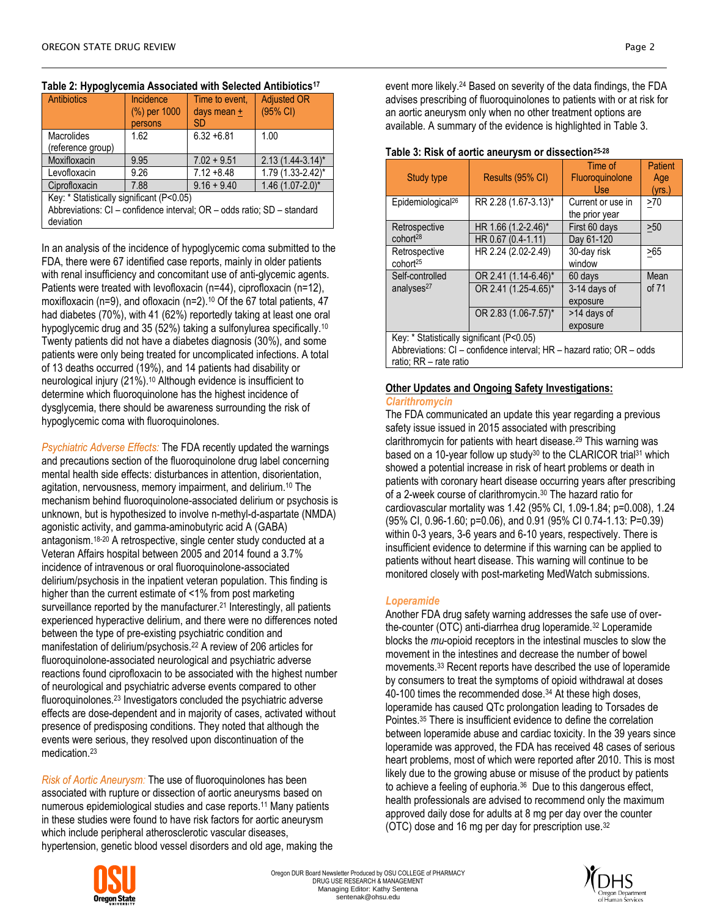| Antibiotics                                                                          | Incidence<br>(%) per 1000<br>persons | Time to event.<br>days mean $+$<br><b>SD</b> | <b>Adjusted OR</b><br>(95% CI) |  |  |  |
|--------------------------------------------------------------------------------------|--------------------------------------|----------------------------------------------|--------------------------------|--|--|--|
| <b>Macrolides</b><br>(reference group)                                               | 1.62                                 | $6.32 + 6.81$                                | 1.00                           |  |  |  |
| Moxifloxacin                                                                         | 9.95                                 | $7.02 + 9.51$                                | $2.13(1.44-3.14)^{*}$          |  |  |  |
| Levofloxacin                                                                         | 9.26                                 | $7.12 + 8.48$                                | $1.79(1.33 - 2.42)^{*}$        |  |  |  |
| Ciprofloxacin                                                                        | 7.88                                 | $9.16 + 9.40$                                | $1.46$ (1.07-2.0)*             |  |  |  |
| Key: * Statistically significant (P<0.05)                                            |                                      |                                              |                                |  |  |  |
| Abbreviations: CI - confidence interval; OR - odds ratio; SD - standard<br>deviation |                                      |                                              |                                |  |  |  |

# **Table 2: Hypoglycemia Associated with Selected Antibiotics<sup>17</sup>**

In an analysis of the incidence of hypoglycemic coma submitted to the FDA, there were 67 identified case reports, mainly in older patients with renal insufficiency and concomitant use of anti-glycemic agents. Patients were treated with levofloxacin (n=44), ciprofloxacin (n=12), moxifloxacin (n=9), and ofloxacin (n=2).<sup>10</sup> Of the 67 total patients, 47 had diabetes (70%), with 41 (62%) reportedly taking at least one oral hypoglycemic drug and 35 (52%) taking a sulfonylurea specifically.<sup>10</sup> Twenty patients did not have a diabetes diagnosis (30%), and some patients were only being treated for uncomplicated infections. A total of 13 deaths occurred (19%), and 14 patients had disability or neurological injury (21%). <sup>10</sup> Although evidence is insufficient to determine which fluoroquinolone has the highest incidence of dysglycemia, there should be awareness surrounding the risk of hypoglycemic coma with fluoroquinolones.

*Psychiatric Adverse Effects:* The FDA recently updated the warnings and precautions section of the fluoroquinolone drug label concerning mental health side effects: disturbances in attention, disorientation, agitation, nervousness, memory impairment, and delirium.<sup>10</sup> The mechanism behind fluoroquinolone-associated delirium or psychosis is unknown, but is hypothesized to involve n-methyl-d-aspartate (NMDA) agonistic activity, and gamma-aminobutyric acid A (GABA) antagonism.18-20 A retrospective, single center study conducted at a Veteran Affairs hospital between 2005 and 2014 found a 3.7% incidence of intravenous or oral fluoroquinolone-associated delirium/psychosis in the inpatient veteran population. This finding is higher than the current estimate of <1% from post marketing surveillance reported by the manufacturer.<sup>21</sup> Interestingly, all patients experienced hyperactive delirium, and there were no differences noted between the type of pre-existing psychiatric condition and manifestation of delirium/psychosis.<sup>22</sup> A review of 206 articles for fluoroquinolone-associated neurological and psychiatric adverse reactions found ciprofloxacin to be associated with the highest number of neurological and psychiatric adverse events compared to other fluoroquinolones.<sup>23</sup> Investigators concluded the psychiatric adverse effects are dose-dependent and in majority of cases, activated without presence of predisposing conditions. They noted that although the events were serious, they resolved upon discontinuation of the medication.<sup>23</sup>

*Risk of Aortic Aneurysm:* The use of fluoroquinolones has been associated with rupture or dissection of aortic aneurysms based on numerous epidemiological studies and case reports.<sup>11</sup> Many patients in these studies were found to have risk factors for aortic aneurysm which include peripheral atherosclerotic vascular diseases, hypertension, genetic blood vessel disorders and old age, making the



#### Study type | Results (95% CI) Time of **Fluoroquinolone** Use **Patient** Age (yrs.) Epidemiological<sup>26</sup> | RR 2.28 (1.67-3.13)<sup>\*</sup> | Current or use in the prior year  $>70$ Retrospective HR 1.66 (1.2-2.46)\* First 60 days | 250

**Table 3: Risk of aortic aneurysm or dissection25-28**

| $E$ pidemiological <sup>20</sup>          | RR 2.28 (1.67-3.13)  | Current or use in<br>the prior year | 27 U  |
|-------------------------------------------|----------------------|-------------------------------------|-------|
| Retrospective                             | HR 1.66 (1.2-2.46)*  | First 60 days                       | >50   |
| cohort <sup>28</sup>                      | HR 0.67 (0.4-1.11)   | Day 61-120                          |       |
| Retrospective<br>cohort <sup>25</sup>     | HR 2.24 (2.02-2.49)  | 30-day risk<br>window               | >65   |
| Self-controlled                           | OR 2.41 (1.14-6.46)* | 60 days                             | Mean  |
| analyses <sup>27</sup>                    | OR 2.41 (1.25-4.65)* | 3-14 days of                        | of 71 |
|                                           |                      | exposure                            |       |
|                                           | OR 2.83 (1.06-7.57)* | >14 days of                         |       |
|                                           |                      | exposure                            |       |
| Key: * Statistically significant (P<0.05) |                      |                                     |       |
|                                           | $\blacksquare$<br>.  |                                     |       |

Abbreviations: CI – confidence interval; HR – hazard ratio; OR – odds ratio; RR – rate ratio

# **Other Updates and Ongoing Safety Investigations:**

# *Clarithromycin*

The FDA communicated an update this year regarding a previous safety issue issued in 2015 associated with prescribing clarithromycin for patients with heart disease.<sup>29</sup> This warning was based on a 10-year follow up study<sup>30</sup> to the CLARICOR trial<sup>31</sup> which showed a potential increase in risk of heart problems or death in patients with coronary heart disease occurring years after prescribing of a 2-week course of clarithromycin.<sup>30</sup> The hazard ratio for cardiovascular mortality was 1.42 (95% CI, 1.09-1.84; p=0.008), 1.24 (95% CI, 0.96-1.60; p=0.06), and 0.91 (95% CI 0.74-1.13: P=0.39) within 0-3 years, 3-6 years and 6-10 years, respectively. There is insufficient evidence to determine if this warning can be applied to patients without heart disease. This warning will continue to be monitored closely with post-marketing MedWatch submissions.

# *Loperamide*

Another FDA drug safety warning addresses the safe use of overthe-counter (OTC) anti-diarrhea drug loperamide.<sup>32</sup> Loperamide blocks the *mu*-opioid receptors in the intestinal muscles to slow the movement in the intestines and decrease the number of bowel movements.<sup>33</sup> Recent reports have described the use of loperamide by consumers to treat the symptoms of opioid withdrawal at doses 40-100 times the recommended dose.<sup>34</sup> At these high doses, loperamide has caused QTc prolongation leading to Torsades de Pointes.<sup>35</sup> There is insufficient evidence to define the correlation between loperamide abuse and cardiac toxicity. In the 39 years since loperamide was approved, the FDA has received 48 cases of serious heart problems, most of which were reported after 2010. This is most likely due to the growing abuse or misuse of the product by patients to achieve a feeling of euphoria.<sup>36</sup> Due to this dangerous effect, health professionals are advised to recommend only the maximum approved daily dose for adults at 8 mg per day over the counter (OTC) dose and 16 mg per day for prescription use.<sup>32</sup>



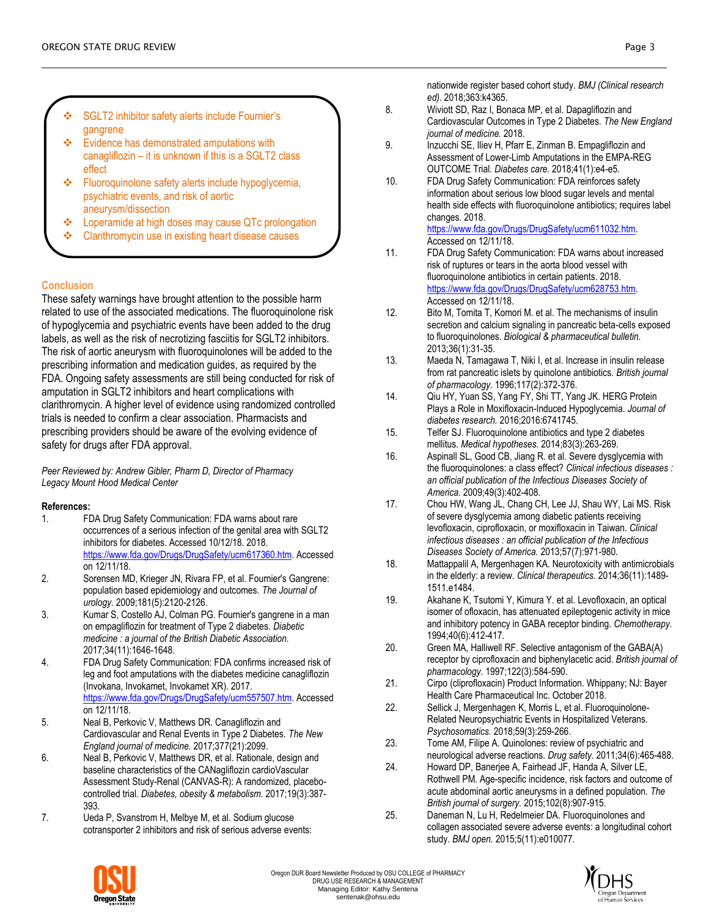- SGLT2 inhibitor safety alerts include Fournier's gangrene
- Evidence has demonstrated amputations with canagliflozin – it is unknown if this is a SGLT2 class effect
- Fluoroquinolone safety alerts include hypoglycemia, psychiatric events, and risk of aortic aneurysm/dissection
- Loperamide at high doses may cause QTc prolongation
- Clarithromycin use in existing heart disease causes

## **Conclusion**

These safety warnings have brought attention to the possible harm related to use of the associated medications. The fluoroquinolone risk of hypoglycemia and psychiatric events have been added to the drug labels, as well as the risk of necrotizing fasciitis for SGLT2 inhibitors. The risk of aortic aneurysm with fluoroquinolones will be added to the prescribing information and medication guides, as required by the FDA. Ongoing safety assessments are still being conducted for risk of amputation in SGLT2 inhibitors and heart complications with clarithromycin. A higher level of evidence using randomized controlled trials is needed to confirm a clear association. Pharmacists and prescribing providers should be aware of the evolving evidence of safety for drugs after FDA approval.

*Peer Reviewed by: Andrew Gibler, Pharm D, Director of Pharmacy Legacy Mount Hood Medical Center*

### **References:**

- 1. FDA Drug Safety Communication: FDA warns about rare occurrences of a serious infection of the genital area with SGLT2 inhibitors for diabetes. Accessed 10/12/18. 2018. [https://www.fda.gov/Drugs/DrugSafety/ucm617360.htm.](https://www.fda.gov/Drugs/DrugSafety/ucm617360.htm) Accessed on 12/11/18.
- 2. Sorensen MD, Krieger JN, Rivara FP, et al. Fournier's Gangrene: population based epidemiology and outcomes. *The Journal of urology.* 2009;181(5):2120-2126.
- 3. Kumar S, Costello AJ, Colman PG. Fournier's gangrene in a man on empagliflozin for treatment of Type 2 diabetes. *Diabetic medicine : a journal of the British Diabetic Association.*  2017;34(11):1646-1648.
- 4. FDA Drug Safety Communication: FDA confirms increased risk of leg and foot amputations with the diabetes medicine canagliflozin (Invokana, Invokamet, Invokamet XR). 2017. [https://www.fda.gov/Drugs/DrugSafety/ucm557507.htm.](https://www.fda.gov/Drugs/DrugSafety/ucm557507.htm) Accessed on 12/11/18.
- 5. Neal B, Perkovic V, Matthews DR. Canagliflozin and Cardiovascular and Renal Events in Type 2 Diabetes. *The New England journal of medicine.* 2017;377(21):2099.
- 6. Neal B, Perkovic V, Matthews DR, et al. Rationale, design and baseline characteristics of the CANagliflozin cardioVascular Assessment Study-Renal (CANVAS-R): A randomized, placebocontrolled trial. *Diabetes, obesity & metabolism.* 2017;19(3):387- 393.
- 7. Ueda P, Svanstrom H, Melbye M, et al. Sodium glucose cotransporter 2 inhibitors and risk of serious adverse events:

nationwide register based cohort study. *BMJ (Clinical research ed).* 2018;363:k4365.

- 8. Wiviott SD, Raz I, Bonaca MP, et al. Dapagliflozin and Cardiovascular Outcomes in Type 2 Diabetes. *The New England journal of medicine.* 2018.
- 9. Inzucchi SE, Iliev H, Pfarr E, Zinman B. Empagliflozin and Assessment of Lower-Limb Amputations in the EMPA-REG OUTCOME Trial. *Diabetes care.* 2018;41(1):e4-e5.
- 10. FDA Drug Safety Communication: FDA reinforces safety information about serious low blood sugar levels and mental health side effects with fluoroquinolone antibiotics; requires label changes. 2018. [https://www.fda.gov/Drugs/DrugSafety/ucm611032.htm.](https://www.fda.gov/Drugs/DrugSafety/ucm611032.htm)

Accessed on 12/11/18. 11. FDA Drug Safety Communication: FDA warns about increased risk of ruptures or tears in the aorta blood vessel with fluoroquinolone antibiotics in certain patients. 2018. [https://www.fda.gov/Drugs/DrugSafety/ucm628753.htm.](https://www.fda.gov/Drugs/DrugSafety/ucm628753.htm) Accessed on 12/11/18.

- 12. Bito M, Tomita T, Komori M. et al. The mechanisms of insulin secretion and calcium signaling in pancreatic beta-cells exposed to fluoroquinolones. *Biological & pharmaceutical bulletin.*  2013;36(1):31-35.
- 13. Maeda N, Tamagawa T, Niki I, et al. Increase in insulin release from rat pancreatic islets by quinolone antibiotics. *British journal of pharmacology.* 1996;117(2):372-376.
- 14. Qiu HY, Yuan SS, Yang FY, Shi TT, Yang JK. HERG Protein Plays a Role in Moxifloxacin-Induced Hypoglycemia. *Journal of diabetes research.* 2016;2016:6741745.
- 15. Telfer SJ. Fluoroquinolone antibiotics and type 2 diabetes mellitus. *Medical hypotheses.* 2014;83(3):263-269.
- 16. Aspinall SL, Good CB, Jiang R. et al. Severe dysglycemia with the fluoroquinolones: a class effect? *Clinical infectious diseases : an official publication of the Infectious Diseases Society of America.* 2009;49(3):402-408.
- 17. Chou HW, Wang JL, Chang CH, Lee JJ, Shau WY, Lai MS. Risk of severe dysglycemia among diabetic patients receiving levofloxacin, ciprofloxacin, or moxifloxacin in Taiwan. *Clinical infectious diseases : an official publication of the Infectious Diseases Society of America.* 2013;57(7):971-980.
- 18. Mattappalil A, Mergenhagen KA. Neurotoxicity with antimicrobials in the elderly: a review. *Clinical therapeutics.* 2014;36(11):1489- 1511.e1484.
- 19. Akahane K, Tsutomi Y, Kimura Y. et al. Levofloxacin, an optical isomer of ofloxacin, has attenuated epileptogenic activity in mice and inhibitory potency in GABA receptor binding. *Chemotherapy.*  1994;40(6):412-417.
- 20. Green MA, Halliwell RF. Selective antagonism of the GABA(A) receptor by ciprofloxacin and biphenylacetic acid. *British journal of pharmacology.* 1997;122(3):584-590.
- 21. Cirpo (cliprofloxacin) Product Information. Whippany; NJ: Bayer Health Care Pharmaceutical Inc. October 2018.
- 22. Sellick J, Mergenhagen K, Morris L, et al. Fluoroquinolone-Related Neuropsychiatric Events in Hospitalized Veterans. *Psychosomatics.* 2018;59(3):259-266.
- 23. Tome AM, Filipe A. Quinolones: review of psychiatric and neurological adverse reactions. *Drug safety.* 2011;34(6):465-488.
- 24. Howard DP, Banerjee A, Fairhead JF, Handa A, Silver LE, Rothwell PM. Age-specific incidence, risk factors and outcome of acute abdominal aortic aneurysms in a defined population. *The British journal of surgery.* 2015;102(8):907-915.
- 25. Daneman N, Lu H, Redelmeier DA. Fluoroquinolones and collagen associated severe adverse events: a longitudinal cohort study. *BMJ open.* 2015;5(11):e010077.